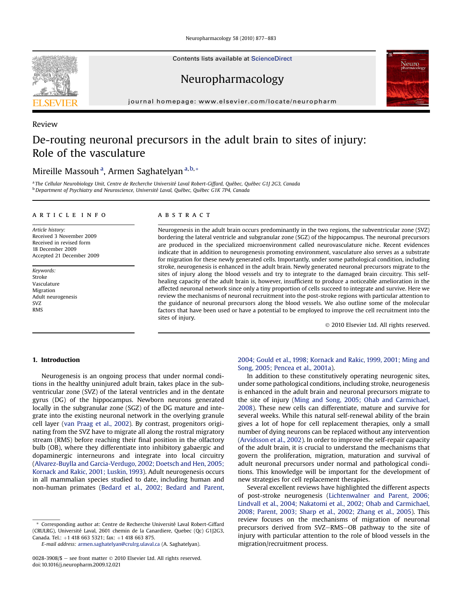Neuropharmacology 58 (2010) 877-883

Contents lists available at ScienceDirect

Neuropharmacology

journal homepage: [www.elsevier.com/locate/neuropharm](http://www.elsevier.com/locate/neuropharm)

# Review

# De-routing neuronal precursors in the adult brain to sites of injury: Role of the vasculature

# Mireille Massouh<sup>a</sup>, Armen Saghatelyan<sup>a, b,</sup>\*

a The Cellular Neurobiology Unit, Centre de Recherche Université Laval Robert-Giffard, Québec, Québec G1J 2G3, Canada <sup>b</sup> Department of Psychiatry and Neuroscience, Université Laval, Québec, Québec G1K 7P4, Canada

### article info

Article history: Received 3 November 2009 Received in revised form 18 December 2009 Accepted 21 December 2009

Keywords: Stroke Vasculature Migration Adult neurogenesis SVZ RMS

# ABSTRACT

Neurogenesis in the adult brain occurs predominantly in the two regions, the subventricular zone (SVZ) bordering the lateral ventricle and subgranular zone (SGZ) of the hippocampus. The neuronal precursors are produced in the specialized microenvironment called neurovasculature niche. Recent evidences indicate that in addition to neurogenesis promoting environment, vasculature also serves as a substrate for migration for these newly generated cells. Importantly, under some pathological condition, including stroke, neurogenesis is enhanced in the adult brain. Newly generated neuronal precursors migrate to the sites of injury along the blood vessels and try to integrate to the damaged brain circuitry. This selfhealing capacity of the adult brain is, however, insufficient to produce a noticeable amelioration in the affected neuronal network since only a tiny proportion of cells succeed to integrate and survive. Here we review the mechanisms of neuronal recruitment into the post-stroke regions with particular attention to the guidance of neuronal precursors along the blood vessels. We also outline some of the molecular factors that have been used or have a potential to be employed to improve the cell recruitment into the sites of injury.

2010 Elsevier Ltd. All rights reserved.

# 1. Introduction

Neurogenesis is an ongoing process that under normal conditions in the healthy uninjured adult brain, takes place in the subventricular zone (SVZ) of the lateral ventricles and in the dentate gyrus (DG) of the hippocampus. Newborn neurons generated locally in the subgranular zone (SGZ) of the DG mature and integrate into the existing neuronal network in the overlying granule cell layer ([van Praag et al., 2002\)](#page-6-0). By contrast, progenitors originating from the SVZ have to migrate all along the rostral migratory stream (RMS) before reaching their final position in the olfactory bulb (OB), where they differentiate into inhibitory gabaergic and dopaminergic interneurons and integrate into local circuitry ([Alvarez-Buylla and Garcia-Verdugo, 2002; Doetsch and Hen, 2005;](#page-4-0) [Kornack and Rakic, 2001; Luskin, 1993](#page-4-0)). Adult neurogenesis occurs in all mammalian species studied to date, including human and non-human primates ([Bedard et al., 2002; Bedard and Parent,](#page-4-0)

Corresponding author at: Centre de Recherche Université Laval Robert-Giffard (CRULRG), Université Laval, 2601 chemin de la Canardiere, Quebec (Qc) G1J2G3, Canada. Tel.: +1 418 663 5321; fax: +1 418 663 875.

E-mail address: [armen.saghatelyan@crulrg.ulaval.ca](mailto:armen.saghatelyan@crulrg.ulaval.ca) (A. Saghatelyan).

[2004; Gould et al., 1998; Kornack and Rakic, 1999, 2001; Ming and](#page-4-0) [Song, 2005; Pencea et al., 2001a\)](#page-4-0).

In addition to these constitutively operating neurogenic sites, under some pathological conditions, including stroke, neurogenesis is enhanced in the adult brain and neuronal precursors migrate to the site of injury [\(Ming and Song, 2005; Ohab and Carmichael,](#page-5-0) [2008\)](#page-5-0). These new cells can differentiate, mature and survive for several weeks. While this natural self-renewal ability of the brain gives a lot of hope for cell replacement therapies, only a small number of dying neurons can be replaced without any intervention ([Arvidsson et al., 2002\)](#page-4-0). In order to improve the self-repair capacity of the adult brain, it is crucial to understand the mechanisms that govern the proliferation, migration, maturation and survival of adult neuronal precursors under normal and pathological conditions. This knowledge will be important for the development of new strategies for cell replacement therapies.

Several excellent reviews have highlighted the different aspects of post-stroke neurogenesis ([Lichtenwalner and Parent, 2006;](#page-5-0) [Lindvall et al., 2004; Nakatomi et al., 2002; Ohab and Carmichael,](#page-5-0) [2008; Parent, 2003; Sharp et al., 2002; Zhang et al., 2005\)](#page-5-0). This review focuses on the mechanisms of migration of neuronal precursors derived from SVZ-RMS-OB pathway to the site of injury with particular attention to the role of blood vessels in the migration/recruitment process.





<sup>0028-3908/\$</sup>  $-$  see front matter  $\odot$  2010 Elsevier Ltd. All rights reserved. doi:10.1016/j.neuropharm.2009.12.021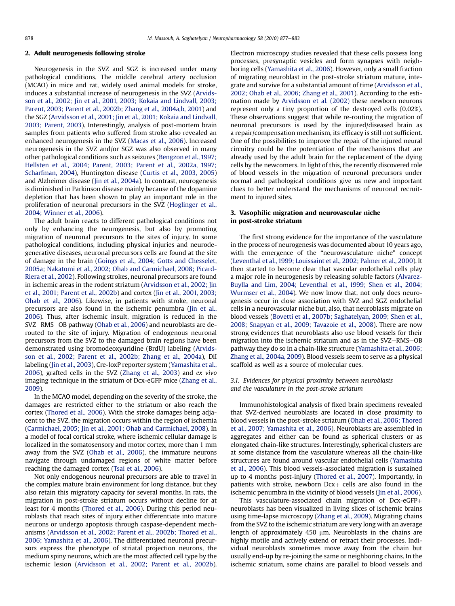### 2. Adult neurogenesis following stroke

Neurogenesis in the SVZ and SGZ is increased under many pathological conditions. The middle cerebral artery occlusion (MCAO) in mice and rat, widely used animal models for stroke, induces a substantial increase of neurogenesis in the SVZ [\(Arvids](#page-4-0)[son et al., 2002; Jin et al., 2001, 2003; Kokaia and Lindvall, 2003;](#page-4-0) [Parent, 2003; Parent et al., 2002b; Zhang et al., 2004a,b, 2001](#page-4-0)) and the SGZ ([Arvidsson et al., 2001; Jin et al., 2001; Kokaia and Lindvall,](#page-4-0) [2003; Parent, 2003\)](#page-4-0). Interestingly, analysis of post-mortem brain samples from patients who suffered from stroke also revealed an enhanced neurogenesis in the SVZ ([Macas et al., 2006](#page-5-0)). Increased neurogenesis in the SVZ and/or SGZ was also observed in many other pathological conditions such as seizures [\(Bengzon et al., 1997;](#page-4-0) [Hellsten et al., 2004; Parent, 2003; Parent et al., 2002a, 1997;](#page-4-0) [Scharfman, 2004\)](#page-4-0), Huntington disease ([Curtis et al., 2003, 2005\)](#page-5-0) and Alzheimer disease [\(Jin et al., 2004a\)](#page-5-0). In contrast, neurogenesis is diminished in Parkinson disease mainly because of the dopamine depletion that has been shown to play an important role in the proliferation of neuronal precursors in the SVZ [\(Hoglinger et al.,](#page-5-0) [2004; Winner et al., 2006\)](#page-5-0).

The adult brain reacts to different pathological conditions not only by enhancing the neurogenesis, but also by promoting migration of neuronal precursors to the sites of injury. In some pathological conditions, including physical injuries and neurodegenerative diseases, neuronal precursors cells are found at the site of damage in the brain ([Goings et al., 2004; Gotts and Chesselet,](#page-5-0) [2005a; Nakatomi et al., 2002; Ohab and Carmichael, 2008; Picard-](#page-5-0)[Riera et al., 2002\)](#page-5-0). Following strokes, neuronal precursors are found in ischemic areas in the rodent striatum [\(Arvidsson et al., 2002; Jin](#page-4-0) [et al., 2001; Parent et al., 2002b](#page-4-0)) and cortex [\(Jin et al., 2001, 2003;](#page-5-0) [Ohab et al., 2006](#page-5-0)). Likewise, in patients with stroke, neuronal precursors are also found in the ischemic penumbra [\(Jin et al.,](#page-5-0) [2006](#page-5-0)). Thus, after ischemic insult, migration is reduced in the SVZ-RMS-OB pathway [\(Ohab et al., 2006](#page-5-0)) and neuroblasts are derouted to the site of injury. Migration of endogenous neuronal precursors from the SVZ to the damaged brain regions have been demonstrated using bromodeoxyuridine (BrdU) labeling [\(Arvids](#page-4-0)[son et al., 2002; Parent et al., 2002b; Zhang et al., 2004a](#page-4-0)), DiI labeling ([Jin et al., 2003\)](#page-5-0), Cre-loxP reporter system ([Yamashita et al.,](#page-6-0) [2006](#page-6-0)), grafted cells in the SVZ [\(Zhang et al., 2003](#page-6-0)) and ex vivo imaging technique in the striatum of Dcx-eGFP mice ([Zhang et al.,](#page-6-0) [2009](#page-6-0)).

In the MCAO model, depending on the severity of the stroke, the damages are restricted either to the striatum or also reach the cortex [\(Thored et al., 2006](#page-6-0)). With the stroke damages being adjacent to the SVZ, the migration occurs within the region of ischemia ([Carmichael, 2005; Jin et al., 2001; Ohab and Carmichael, 2008](#page-4-0)). In a model of focal cortical stroke, where ischemic cellular damage is localized in the somatosensory and motor cortex, more than 1 mm away from the SVZ ([Ohab et al., 2006](#page-5-0)), the immature neurons navigate through undamaged regions of white matter before reaching the damaged cortex ([Tsai et al., 2006\)](#page-6-0).

Not only endogenous neuronal precursors are able to travel in the complex mature brain environment for long distance, but they also retain this migratory capacity for several months. In rats, the migration in post-stroke striatum occurs without decline for at least for 4 months ([Thored et al., 2006\)](#page-6-0). During this period neuroblasts that reach sites of injury either differentiate into mature neurons or undergo apoptosis through caspase-dependent mechanisms [\(Arvidsson et al., 2002; Parent et al., 2002b; Thored et al.,](#page-4-0) [2006; Yamashita et al., 2006\)](#page-4-0). The differentiated neuronal precursors express the phenotype of striatal projection neurons, the medium spiny neurons, which are the most affected cell type by the ischemic lesion [\(Arvidsson et al., 2002; Parent et al., 2002b\)](#page-4-0). Electron microscopy studies revealed that these cells possess long processes, presynaptic vesicles and form synapses with neighboring cells [\(Yamashita et al., 2006](#page-6-0)). However, only a small fraction of migrating neuroblast in the post-stroke striatum mature, integrate and survive for a substantial amount of time ([Arvidsson et al.,](#page-4-0) [2002; Ohab et al., 2006; Zhang et al., 2001\)](#page-4-0). According to the estimation made by [Arvidsson et al. \(2002\)](#page-4-0) these newborn neurons represent only a tiny proportion of the destroyed cells (0.02%). These observations suggest that while re-routing the migration of neuronal precursors is used by the injured/diseased brain as a repair/compensation mechanism, its efficacy is still not sufficient. One of the possibilities to improve the repair of the injured neural circuitry could be the potentiation of the mechanisms that are already used by the adult brain for the replacement of the dying cells by the newcomers. In light of this, the recently discovered role of blood vessels in the migration of neuronal precursors under normal and pathological conditions give us new and important clues to better understand the mechanisms of neuronal recruitment to injured sites.

## 3. Vasophilic migration and neurovascular niche in post-stroke striatum

The first strong evidence for the importance of the vasculature in the process of neurogenesis was documented about 10 years ago, with the emergence of the "neurovasculature niche" concept ([Leventhal et al., 1999; Louissaint et al., 2002; Palmer et al., 2000\)](#page-5-0). It then started to become clear that vascular endothelial cells play a major role in neurogenesis by releasing soluble factors ([Alvarez-](#page-4-0)[Buylla and Lim, 2004; Leventhal et al., 1999; Shen et al., 2004;](#page-4-0) [Wurmser et al., 2004\)](#page-4-0). We now know that, not only does neurogenesis occur in close association with SVZ and SGZ endothelial cells in a neurovascular niche but, also, that neuroblasts migrate on blood vessels [\(Bovetti et al., 2007b; Saghatelyan, 2009; Shen et al.,](#page-4-0) [2008; Snapyan et al., 2009; Tavazoie et al., 2008\)](#page-4-0). There are now strong evidences that neuroblasts also use blood vessels for their migration into the ischemic striatum and as in the SVZ-RMS-OB pathway they do so in a chain-like structure [\(Yamashita et al., 2006;](#page-6-0) [Zhang et al., 2004a, 2009\)](#page-6-0). Blood vessels seem to serve as a physical scaffold as well as a source of molecular cues.

# 3.1. Evidences for physical proximity between neuroblasts and the vasculature in the post-stroke striatum

Immunohistological analysis of fixed brain specimens revealed that SVZ-derived neuroblasts are located in close proximity to blood vessels in the post-stroke striatum ([Ohab et al., 2006; Thored](#page-5-0) [et al., 2007; Yamashita et al., 2006\)](#page-5-0). Neuroblasts are assembled in aggregates and either can be found as spherical clusters or as elongated chain-like structures. Interestingly, spherical clusters are at some distance from the vasculature whereas all the chain-like structures are found around vascular endothelial cells [\(Yamashita](#page-6-0) [et al., 2006\)](#page-6-0). This blood vessels-associated migration is sustained up to 4 months post-injury [\(Thored et al., 2007](#page-6-0)). Importantly, in patients with stroke, newborn  $Dcx +$  cells are also found in the ischemic penumbra in the vicinity of blood vessels [\(Jin et al., 2006\)](#page-5-0).

This vasculature-associated chain migration of  $Dcx$ -eGFP+ neuroblasts has been visualized in living slices of ischemic brains using time-lapse microscopy [\(Zhang et al., 2009](#page-6-0)). Migrating chains from the SVZ to the ischemic striatum are very long with an average length of approximately 450 µm. Neuroblasts in the chains are highly motile and actively extend or retract their processes. Individual neuroblasts sometimes move away from the chain but usually end-up by re-joining the same or neighboring chains. In the ischemic striatum, some chains are parallel to blood vessels and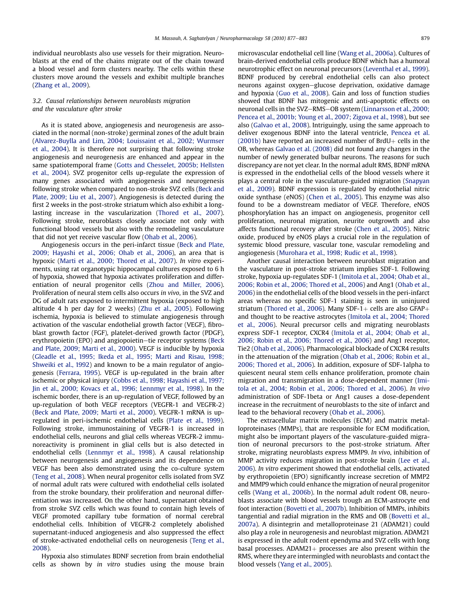individual neuroblasts also use vessels for their migration. Neuroblasts at the end of the chains migrate out of the chain toward a blood vessel and form clusters nearby. The cells within these clusters move around the vessels and exhibit multiple branches ([Zhang et al., 2009](#page-6-0)).

# 3.2. Causal relationships between neuroblasts migration and the vasculature after stroke

As it is stated above, angiogenesis and neurogenesis are associated in the normal (non-stroke) germinal zones of the adult brain ([Alvarez-Buylla and Lim, 2004; Louissaint et al., 2002; Wurmser](#page-4-0) [et al., 2004](#page-4-0)). It is therefore not surprising that following stroke angiogenesis and neurogenesis are enhanced and appear in the same spatiotemporal frame ([Gotts and Chesselet, 2005b; Hellsten](#page-5-0) [et al., 2004](#page-5-0)). SVZ progenitor cells up-regulate the expression of many genes associated with angiogenesis and neurogenesis following stroke when compared to non-stroke SVZ cells ([Beck and](#page-4-0) [Plate, 2009; Liu et al., 2007](#page-4-0)). Angiogenesis is detected during the first 2 weeks in the post-stroke striatum which also exhibit a longlasting increase in the vascularization [\(Thored et al., 2007\)](#page-6-0). Following stroke, neuroblasts closely associate not only with functional blood vessels but also with the remodeling vasculature that did not yet receive vascular flow [\(Ohab et al., 2006\)](#page-5-0).

Angiogenesis occurs in the peri-infarct tissue [\(Beck and Plate,](#page-4-0) [2009; Hayashi et al., 2006; Ohab et al., 2006](#page-4-0)), an area that is hypoxic ([Marti et al., 2000; Thored et al., 2007](#page-5-0)). In vitro experiments, using rat organotypic hippocampal cultures exposed to 6 h of hypoxia, showed that hypoxia activates proliferation and differentiation of neural progenitor cells [\(Zhou and Miller, 2006\)](#page-6-0). Proliferation of neural stem cells also occurs in vivo, in the SVZ and DG of adult rats exposed to intermittent hypoxia (exposed to high altitude 4 h per day for 2 weeks) [\(Zhu et al., 2005\)](#page-6-0). Following ischemia, hypoxia is believed to stimulate angiogenesis through activation of the vascular endothelial growth factor (VEGF), fibroblast growth factor (FGF), platelet-derived growth factor (PDGF), erythropoietin (EPO) and angiopoietin-tie receptor systems ([Beck](#page-4-0) [and Plate, 2009; Marti et al., 2000](#page-4-0)). VEGF is inducible by hypoxia ([Gleadle et al., 1995; Ikeda et al., 1995; Marti and Risau, 1998;](#page-5-0) [Shweiki et al., 1992](#page-5-0)) and known to be a main regulator of angiogenesis [\(Ferrara, 1995\)](#page-5-0). VEGF is up-regulated in the brain after ischemic or physical injury ([Cobbs et al., 1998; Hayashi et al., 1997;](#page-5-0) [Jin et al., 2000; Kovacs et al., 1996; Lennmyr et al., 1998](#page-5-0)). In the ischemic border, there is an up-regulation of VEGF, followed by an up-regulation of both VEGF receptors (VEGFR-1 and VEGFR-2) ([Beck and Plate, 2009; Marti et al., 2000\)](#page-4-0). VEGFR-1 mRNA is upregulated in peri-ischemic endothelial cells [\(Plate et al., 1999\)](#page-6-0). Following stroke, immunostaining of VEGFR-1 is increased in endothelial cells, neurons and glial cells whereas VEGFR-2 immunoreactivity is prominent in glial cells but is also detected in endothelial cells ([Lennmyr et al., 1998](#page-5-0)). A causal relationship between neurogenesis and angiogenesis and its dependence on VEGF has been also demonstrated using the co-culture system ([Teng et al., 2008](#page-6-0)). When neural progenitor cells isolated from SVZ of normal adult rats were cultured with endothelial cells isolated from the stroke boundary, their proliferation and neuronal differentiation was increased. On the other hand, supernatant obtained from stroke SVZ cells which was found to contain high levels of VEGF promoted capillary tube formation of normal cerebral endothelial cells. Inhibition of VEGFR-2 completely abolished supernatant-induced angiogenesis and also suppressed the effect of stroke-activated endothelial cells on neurogenesis ([Teng et al.,](#page-6-0) [2008\)](#page-6-0).

Hypoxia also stimulates BDNF secretion from brain endothelial cells as shown by in vitro studies using the mouse brain microvascular endothelial cell line [\(Wang et al., 2006a\)](#page-6-0). Cultures of brain-derived endothelial cells produce BDNF which has a humoral neurotrophic effect on neuronal precursors ([Leventhal et al., 1999\)](#page-5-0). BDNF produced by cerebral endothelial cells can also protect neurons against oxygen-glucose deprivation, oxidative damage and hypoxia ([Guo et al., 2008\)](#page-5-0). Gain and loss of function studies showed that BDNF has mitogenic and anti-apoptotic effects on neuronal cells in the SVZ-RMS-OB system [\(Linnarsson et al., 2000;](#page-5-0) [Pencea et al., 2001b; Young et al., 2007; Zigova et al., 1998\)](#page-5-0), but see also ([Galvao et al., 2008\)](#page-5-0). Intriguingly, using the same approach to deliver exogenous BDNF into the lateral ventricle, [Pencea et al.](#page-6-0) [\(2001b\)](#page-6-0) have reported an increased number of BrdU $+$  cells in the OB, whereas [Galvao et al. \(2008\)](#page-5-0) did not found any changes in the number of newly generated bulbar neurons. The reasons for such discrepancy are not yet clear. In the normal adult RMS, BDNF mRNA is expressed in the endothelial cells of the blood vessels where it plays a central role in the vasculature-guided migration ([Snapyan](#page-6-0) [et al., 2009](#page-6-0)). BDNF expression is regulated by endothelial nitric oxide synthase (eNOS) ([Chen et al., 2005](#page-4-0)). This enzyme was also found to be a downstream mediator of VEGF. Therefore, eNOS phosphorylation has an impact on angiogenesis, progenitor cell proliferation, neuronal migration, neurite outgrowth and also affects functional recovery after stroke [\(Chen et al., 2005](#page-4-0)). Nitric oxide, produced by eNOS plays a crucial role in the regulation of systemic blood pressure, vascular tone, vascular remodeling and angiogenesis [\(Murohara et al., 1998; Rudic et al., 1998](#page-5-0)).

Another causal interaction between neuroblast migration and the vasculature in post-stroke striatum implies SDF-1. Following stroke, hypoxia up-regulates SDF-1 [\(Imitola et al., 2004; Ohab et al.,](#page-5-0) [2006; Robin et al., 2006; Thored et al., 2006](#page-5-0)) and Ang1 ([Ohab et al.,](#page-5-0) [2006\)](#page-5-0) in the endothelial cells of the blood vessels in the peri-infarct areas whereas no specific SDF-1 staining is seen in uninjured striatum [\(Thored et al., 2006\)](#page-6-0). Many SDF-1+ cells are also GFAP+ and thought to be reactive astrocytes ([Imitola et al., 2004; Thored](#page-5-0) [et al., 2006\)](#page-5-0). Neural precursor cells and migrating neuroblasts express SDF-1 receptor, CXCR4 [\(Imitola et al., 2004; Ohab et al.,](#page-5-0) [2006; Robin et al., 2006; Thored et al., 2006\)](#page-5-0) and Ang1 receptor, Tie2 [\(Ohab et al., 2006](#page-5-0)). Pharmacological blockade of CXCR4 results in the attenuation of the migration [\(Ohab et al., 2006; Robin et al.,](#page-5-0) [2006; Thored et al., 2006](#page-5-0)). In addition, exposure of SDF-1alpha to quiescent neural stem cells enhance proliferation, promote chain migration and transmigration in a dose-dependent manner ([Imi](#page-5-0)tola [et al., 2004; Robin et al., 2006; Thored et al., 2006\)](#page-5-0). In vivo administration of SDF-1beta or Ang1 causes a dose-dependent increase in the recruitment of neuroblasts to the site of infarct and lead to the behavioral recovery ([Ohab et al., 2006](#page-5-0)).

The extracellular matrix molecules (ECM) and matrix metalloproteinases (MMPs), that are responsible for ECM modification, might also be important players of the vasculature-guided migration of neuronal precursors to the post-stroke striatum. After stroke, migrating neuroblasts express MMP9. In vivo, inhibition of MMP activity reduces migration in post-stroke brain ([Lee et al.,](#page-5-0) [2006\)](#page-5-0). In vitro experiment showed that endothelial cells, activated by erythropoietin (EPO) significantly increase secretion of MMP2 and MMP9 which could enhance the migration of neural progenitor cells [\(Wang et al., 2006b\)](#page-6-0). In the normal adult rodent OB, neuroblasts associate with blood vessels trough an ECM-astrocyte end foot interaction [\(Bovetti et al., 2007b](#page-4-0)). Inhibition of MMPs, inhibits tangential and radial migration in the RMS and OB ([Bovetti et al.,](#page-4-0) [2007a\)](#page-4-0). A disintegrin and metalloproteinase 21 (ADAM21) could also play a role in neurogenesis and neuroblast migration. ADAM21 is expressed in the adult rodent ependyma and SVZ cells with long basal processes.  $ADAM21+$  processes are also present within the RMS, where they are intermingled with neuroblasts and contact the blood vessels [\(Yang et al., 2005\)](#page-6-0).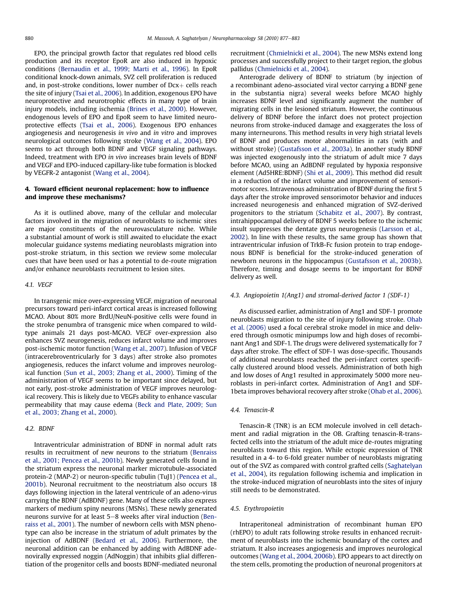EPO, the principal growth factor that regulates red blood cells production and its receptor EpoR are also induced in hypoxic conditions ([Bernaudin et al., 1999; Marti et al., 1996\)](#page-4-0). In EpoR conditional knock-down animals, SVZ cell proliferation is reduced and, in post-stroke conditions, lower number of  $Dcx +$  cells reach the site of injury ([Tsai et al., 2006\)](#page-6-0). In addition, exogenous EPO have neuroprotective and neurotrophic effects in many type of brain injury models, including ischemia ([Brines et al., 2000](#page-4-0)). However, endogenous levels of EPO and EpoR seem to have limited neuroprotective effects ([Tsai et al., 2006\)](#page-6-0). Exogenous EPO enhances angiogenesis and neurogenesis in vivo and in vitro and improves neurological outcomes following stroke ([Wang et al., 2004](#page-6-0)). EPO seems to act through both BDNF and VEGF signaling pathways. Indeed, treatment with EPO in vivo increases brain levels of BDNF and VEGF and EPO-induced capillary-like tube formation is blocked by VEGFR-2 antagonist ([Wang et al., 2004](#page-6-0)).

# 4. Toward efficient neuronal replacement: how to influence and improve these mechanisms?

As it is outlined above, many of the cellular and molecular factors involved in the migration of neuroblasts to ischemic sites are major constituents of the neurovasculature niche. While a substantial amount of work is still awaited to elucidate the exact molecular guidance systems mediating neuroblasts migration into post-stroke striatum, in this section we review some molecular cues that have been used or has a potential to de-route migration and/or enhance neuroblasts recruitment to lesion sites.

#### 4.1. VEGF

In transgenic mice over-expressing VEGF, migration of neuronal precursors toward peri-infarct cortical areas is increased following MCAO. About 80% more BrdU/NeuN-positive cells were found in the stroke penumbra of transgenic mice when compared to wildtype animals 21 days post-MCAO. VEGF over-expression also enhances SVZ neurogenesis, reduces infarct volume and improves post-ischemic motor function [\(Wang et al., 2007\)](#page-6-0). Infusion of VEGF (intracerebroventricularly for 3 days) after stroke also promotes angiogenesis, reduces the infarct volume and improves neurological function ([Sun et al., 2003; Zhang et al., 2000](#page-6-0)). Timing of the administration of VEGF seems to be important since delayed, but not early, post-stroke administration of VEGF improves neurological recovery. This is likely due to VEGFs ability to enhance vascular permeability that may cause edema [\(Beck and Plate, 2009; Sun](#page-4-0) [et al., 2003; Zhang et al., 2000](#page-4-0)).

# 4.2. BDNF

Intraventricular administration of BDNF in normal adult rats results in recruitment of new neurons to the striatum ([Benraiss](#page-4-0) [et al., 2001; Pencea et al., 2001b](#page-4-0)). Newly generated cells found in the striatum express the neuronal marker microtubule-associated protein-2 (MAP-2) or neuron-specific tubulin (TuJ1) ([Pencea et al.,](#page-6-0) [2001b\)](#page-6-0). Neuronal recruitment to the neostriatum also occurs 18 days following injection in the lateral ventricule of an adeno-virus carrying the BDNF (AdBDNF) gene. Many of these cells also express markers of medium spiny neurons (MSNs). These newly generated neurons survive for at least 5–8 weeks after viral induction [\(Ben](#page-4-0)[raiss et al., 2001](#page-4-0)). The number of newborn cells with MSN phenotype can also be increase in the striatum of adult primates by the injection of AdBDNF ([Bedard et al., 2006](#page-4-0)). Furthermore, the neuronal addition can be enhanced by adding with AdBDNF adenovirally expressed noggin (AdNoggin) that inhibits glial differentiation of the progenitor cells and boosts BDNF-mediated neuronal recruitment [\(Chmielnicki et al., 2004\)](#page-5-0). The new MSNs extend long processes and successfully project to their target region, the globus pallidus [\(Chmielnicki et al., 2004\)](#page-5-0).

Anterograde delivery of BDNF to striatum (by injection of a recombinant adeno-associated viral vector carrying a BDNF gene in the substantia nigra) several weeks before MCAO highly increases BDNF level and significantly augment the number of migrating cells in the lesioned striatum. However, the continuous delivery of BDNF before the infarct does not protect projection neurons from stroke-induced damage and exaggerates the loss of many interneurons. This method results in very high striatal levels of BDNF and produces motor abnormalities in rats (with and without stroke) [\(Gustafsson et al., 2003a\)](#page-5-0). In another study BDNF was injected exogenously into the striatum of adult mice 7 days before MCAO, using an AdBDNF regulated by hypoxia responsive element (Ad5HRE:BDNF) ([Shi et al., 2009](#page-6-0)). This method did result in a reduction of the infarct volume and improvement of sensorimotor scores. Intravenous administration of BDNF during the first 5 days after the stroke improved sensorimotor behavior and induces increased neurogenesis and enhanced migration of SVZ-derived progenitors to the striatum ([Schabitz et al., 2007\)](#page-6-0). By contrast, intrahippocampal delivery of BDNF 5 weeks before to the ischemic insult suppresses the dentate gyrus neurogenesis ([Larsson et al.,](#page-5-0) [2002](#page-5-0)). In line with these results, the same group has shown that intraventricular infusion of TrkB-Fc fusion protein to trap endogenous BDNF is beneficial for the stroke-induced generation of newborn neurons in the hippocampus ([Gustafsson et al., 2003b\)](#page-5-0). Therefore, timing and dosage seems to be important for BDNF delivery as well.

# 4.3. Angiopoietin 1(Ang1) and stromal-derived factor 1 (SDF-1)

As discussed earlier, administration of Ang1 and SDF-1 promote neuroblasts migration to the site of injury following stroke. [Ohab](#page-5-0) [et al. \(2006\)](#page-5-0) used a focal cerebral stroke model in mice and delivered through osmotic minipumps low and high doses of recombinant Ang1 and SDF-1. The drugs were delivered systematically for 7 days after stroke. The effect of SDF-1 was dose-specific. Thousands of additional neuroblasts reached the peri-infarct cortex specifically clustered around blood vessels. Administration of both high and low doses of Ang1 resulted in approximately 5000 more neuroblasts in peri-infarct cortex. Administration of Ang1 and SDF-1beta improves behavioral recovery after stroke [\(Ohab et al., 2006\)](#page-5-0).

#### 4.4. Tenascin-R

Tenascin-R (TNR) is an ECM molecule involved in cell detachment and radial migration in the OB. Grafting tenascin-R-transfected cells into the striatum of the adult mice de-routes migrating neuroblasts toward this region. While ectopic expression of TNR resulted in a 4- to 6-fold greater number of neuroblasts migrating out of the SVZ as compared with control grafted cells ([Saghatelyan](#page-6-0) [et al., 2004](#page-6-0)), its regulation following ischemia and implication in the stroke-induced migration of neuroblasts into the sites of injury still needs to be demonstrated.

#### 4.5. Erythropoietin

Intraperitoneal administration of recombinant human EPO (rhEPO) to adult rats following stroke results in enhanced recruitment of neuroblasts into the ischemic boundary of the cortex and striatum. It also increases angiogenesis and improves neurological outcomes [\(Wang et al., 2004, 2006b](#page-6-0)). EPO appears to act directly on the stem cells, promoting the production of neuronal progenitors at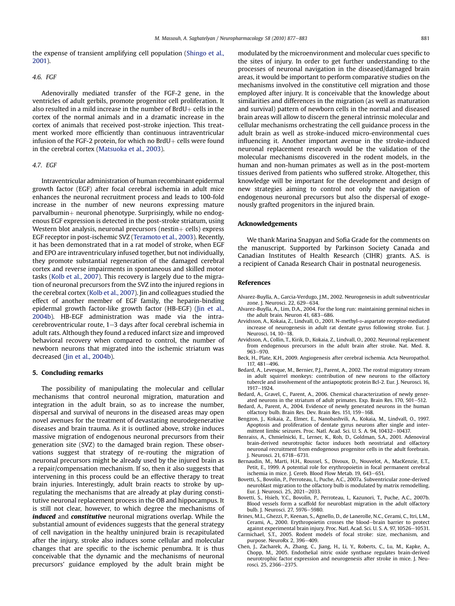<span id="page-4-0"></span>the expense of transient amplifying cell population [\(Shingo et al.,](#page-6-0) [2001\)](#page-6-0).

# 4.6. FGF

Adenovirally mediated transfer of the FGF-2 gene, in the ventricles of adult gerbils, promote progenitor cell proliferation. It also resulted in a mild increase in the number of  $BrdU +$  cells in the cortex of the normal animals and in a dramatic increase in the cortex of animals that received post-stroke injection. This treatment worked more efficiently than continuous intraventricular infusion of the FGF-2 protein, for which no BrdU $+$  cells were found in the cerebral cortex [\(Matsuoka et al., 2003\)](#page-5-0).

#### 4.7. EGF

Intraventricular administration of human recombinant epidermal growth factor (EGF) after focal cerebral ischemia in adult mice enhances the neuronal recruitment process and leads to 100-fold increase in the number of new neurons expressing mature  $parvalbumin+$  neuronal phenotype. Surprisingly, while no endogenous EGF expression is detected in the post-stroke striatum, using Western blot analysis, neuronal precursors (nestin $+$  cells) express EGF receptor in post-ischemic SVZ ([Teramoto et al., 2003](#page-6-0)). Recently, it has been demonstrated that in a rat model of stroke, when EGF and EPO are intraventriculary infused together, but not individually, they promote substantial regeneration of the damaged cerebral cortex and reverse impairments in spontaneous and skilled motor tasks [\(Kolb et al., 2007\)](#page-5-0). This recovery is largely due to the migration of neuronal precursors from the SVZ into the injured regions in the cerebral cortex [\(Kolb et al., 2007](#page-5-0)). Jin and colleagues studied the effect of another member of EGF family, the heparin-binding epidermal growth factor-like growth factor (HB-EGF) ([Jin et al.,](#page-5-0) [2004b\)](#page-5-0). HB-EGF administration was made via the intracerebroventricular route,  $1-3$  days after focal cerebral ischemia in adult rats. Although they found a reduced infarct size and improved behavioral recovery when compared to control, the number of newborn neurons that migrated into the ischemic striatum was decreased ([Jin et al., 2004b\)](#page-5-0).

#### 5. Concluding remarks

The possibility of manipulating the molecular and cellular mechanisms that control neuronal migration, maturation and integration in the adult brain, so as to increase the number, dispersal and survival of neurons in the diseased areas may open novel avenues for the treatment of devastating neurodegenerative diseases and brain trauma. As it is outlined above, stroke induces massive migration of endogenous neuronal precursors from their generation site (SVZ) to the damaged brain region. These observations suggest that strategy of re-routing the migration of neuronal precursors might be already used by the injured brain as a repair/compensation mechanism. If so, then it also suggests that intervening in this process could be an effective therapy to treat brain injuries. Interestingly, adult brain reacts to stroke by upregulating the mechanisms that are already at play during constitutive neuronal replacement process in the OB and hippocampus. It is still not clear, however, to which degree the mechanisms of induced and constitutive neuronal migrations overlap. While the substantial amount of evidences suggests that the general strategy of cell navigation in the healthy uninjured brain is recapitulated after the injury, stroke also induces some cellular and molecular changes that are specific to the ischemic penumbra. It is thus conceivable that the dynamic and the mechanisms of neuronal precursors' guidance employed by the adult brain might be

modulated by the microenvironment and molecular cues specific to the sites of injury. In order to get further understanding to the processes of neuronal navigation in the diseased/damaged brain areas, it would be important to perform comparative studies on the mechanisms involved in the constitutive cell migration and those employed after injury. It is conceivable that the knowledge about similarities and differences in the migration (as well as maturation and survival) pattern of newborn cells in the normal and diseased brain areas will allow to discern the general intrinsic molecular and cellular mechanisms orchestrating the cell guidance process in the adult brain as well as stroke-induced micro-environmental cues influencing it. Another important avenue in the stroke-induced neuronal replacement research would be the validation of the molecular mechanisms discovered in the rodent models, in the human and non-human primates as well as in the post-mortem tissues derived from patients who suffered stroke. Altogether, this knowledge will be important for the development and design of new strategies aiming to control not only the navigation of endogenous neuronal precursors but also the dispersal of exogenously grafted progenitors in the injured brain.

#### Acknowledgements

We thank Marina Snapyan and Sofia Grade for the comments on the manuscript. Supported by Parkinson Society Canada and Canadian Institutes of Health Research (CIHR) grants. A.S. is a recipient of Canada Research Chair in postnatal neurogenesis.

#### References

- Alvarez-Buylla, A., Garcia-Verdugo, J.M., 2002. Neurogenesis in adult subventricular zone. J. Neurosci. 22, 629-634.
- Alvarez-Buylla, A., Lim, D.A., 2004. For the long run: maintaining germinal niches in the adult brain. Neuron 41, 683-686.
- Arvidsson, A., Kokaia, Z., Lindvall, O., 2001. N-methyl-D-aspartate receptor-mediated increase of neurogenesis in adult rat dentate gyrus following stroke. Eur. J. Neurosci. 14, 10-18.
- Arvidsson, A., Collin, T., Kirik, D., Kokaia, Z., Lindvall, O., 2002. Neuronal replacement from endogenous precursors in the adult brain after stroke. Nat. Med. 8, 963-970.
- Beck, H., Plate, K.H., 2009. Angiogenesis after cerebral ischemia. Acta Neuropathol. 117, 481-496.
- Bedard, A., Levesque, M., Bernier, P.J., Parent, A., 2002. The rostral migratory stream in adult squirrel monkeys: contribution of new neurons to the olfactory tubercle and involvement of the antiapoptotic protein Bcl-2. Eur. J. Neurosci. 16, 1917-1924.
- Bedard, A., Gravel, C., Parent, A., 2006. Chemical characterization of newly generated neurons in the striatum of adult primates. Exp. Brain Res.  $170$ ,  $501-512$ .
- Bedard, A., Parent, A., 2004. Evidence of newly generated neurons in the human olfactory bulb. Brain Res. Dev. Brain Res. 151, 159-168.
- Bengzon, J., Kokaia, Z., Elmer, E., Nanobashvili, A., Kokaia, M., Lindvall, O., 1997. Apoptosis and proliferation of dentate gyrus neurons after single and intermittent limbic seizures. Proc. Natl. Acad. Sci. U. S. A. 94, 10432-10437.
- Benraiss, A., Chmielnicki, E., Lerner, K., Roh, D., Goldman, S.A., 2001. Adenoviral brain-derived neurotrophic factor induces both neostriatal and olfactory neuronal recruitment from endogenous progenitor cells in the adult forebrain. I. Neurosci. 21, 6718-6731.
- Bernaudin, M., Marti, H.H., Roussel, S., Divoux, D., Nouvelot, A., MacKenzie, E.T., Petit, E., 1999. A potential role for erythropoietin in focal permanent cerebral ischemia in mice. J. Cereb. Blood Flow Metab. 19, 643-651.
- Bovetti, S., Bovolin, P., Perroteau, I., Puche, A.C., 2007a. Subventricular zone-derived neuroblast migration to the olfactory bulb is modulated by matrix remodelling. Eur. J. Neurosci. 25, 2021-2033.
- Bovetti, S., Hsieh, Y.C., Bovolin, P., Perroteau, I., Kazunori, T., Puche, A.C., 2007b. Blood vessels form a scaffold for neuroblast migration in the adult olfactory bulb. J. Neurosci. 27, 5976-5980.
- Brines, M.L., Ghezzi, P., Keenan, S., Agnello, D., de Lanerolle, N.C., Cerami, C., Itri, L.M., Cerami, A., 2000. Erythropoietin crosses the blood-brain barrier to protect against experimental brain injury. Proc. Natl. Acad. Sci. U. S. A. 97, 10526-10531.
- Carmichael, S.T., 2005. Rodent models of focal stroke: size, mechanism, and purpose. NeuroRx 2, 396-409.
- Chen, J., Zacharek, A., Zhang, C., Jiang, H., Li, Y., Roberts, C., Lu, M., Kapke, A., Chopp, M., 2005. Endothelial nitric oxide synthase regulates brain-derived neurotrophic factor expression and neurogenesis after stroke in mice. J. Neurosci. 25, 2366-2375.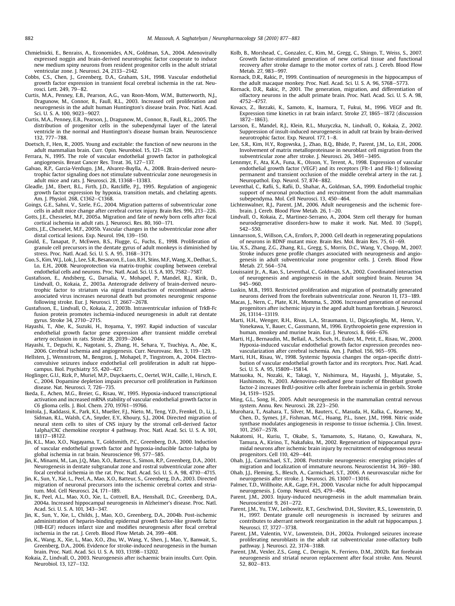- <span id="page-5-0"></span>Chmielnicki, E., Benraiss, A., Economides, A.N., Goldman, S.A., 2004. Adenovirally expressed noggin and brain-derived neurotrophic factor cooperate to induce new medium spiny neurons from resident progenitor cells in the adult striatal ventricular zone. J. Neurosci. 24, 2133-2142.
- Cobbs, C.S., Chen, J., Greenberg, D.A., Graham, S.H., 1998. Vascular endothelial growth factor expression in transient focal cerebral ischemia in the rat. Neu $r$ osci. Lett. 249,  $79 - 82$ .
- Curtis, M.A., Penney, E.B., Pearson, A.G., van Roon-Mom, W.M., Butterworth, N.J., Dragunow, M., Connor, B., Faull, R.L., 2003. Increased cell proliferation and neurogenesis in the adult human Huntington's disease brain. Proc. Natl. Acad. Sci. U. S. A. 100, 9023-9027.
- Curtis, M.A., Penney, E.B., Pearson, J., Dragunow, M., Connor, B., Faull, R.L., 2005. The distribution of progenitor cells in the subependymal layer of the lateral ventricle in the normal and Huntington's disease human brain. Neuroscience 132, 777-788.
- Doetsch, F., Hen, R., 2005. Young and excitable: the function of new neurons in the adult mammalian brain. Curr. Opin. Neurobiol.  $15, 121-128$ .
- Ferrara, N., 1995. The role of vascular endothelial growth factor in pathological angiogenesis. Breast Cancer Res. Treat. 36,  $127-137$ .
- Galvao, R.P., Garcia-Verdugo, J.M., Alvarez-Buylla, A., 2008. Brain-derived neurotrophic factor signaling does not stimulate subventricular zone neurogenesis in adult mice and rats. J. Neurosci. 28, 13368-13383.
- Gleadle, J.M., Ebert, B.L., Firth, J.D., Ratcliffe, P.J., 1995. Regulation of angiogenic growth factor expression by hypoxia, transition metals, and chelating agents. Am. J. Physiol. 268, C1362-C1368.
- Goings, G.E., Sahni, V., Szele, F.G., 2004. Migration patterns of subventricular zone cells in adult mice change after cerebral cortex injury. Brain Res. 996, 213-226.
- Gotts, J.E., Chesselet, M.F., 2005a. Migration and fate of newly born cells after focal cortical ischemia in adult rats. J. Neurosci. Res. 80, 160-171.
- Gotts, J.E., Chesselet, M.F., 2005b. Vascular changes in the subventricular zone after distal cortical lesions. Exp. Neurol. 194, 139-150.
- Gould, E., Tanapat, P., McEwen, B.S., Flugge, G., Fuchs, E., 1998. Proliferation of granule cell precursors in the dentate gyrus of adult monkeys is diminished by stress. Proc. Natl. Acad. Sci. U. S. A. 95, 3168-3171.
- Guo, S., Kim, W.J., Lok, J., Lee, S.R., Besancon, E., Luo, B.H., Stins, M.F., Wang, X., Dedhar, S. Lo, E.H., 2008. Neuroprotection via matrix-trophic coupling between cerebral endothelial cells and neurons. Proc. Natl. Acad. Sci. U. S. A. 105, 7582-7587.
- Gustafsson, E., Andsberg, G., Darsalia, V., Mohapel, P., Mandel, R.J., Kirik, D., Lindvall, O., Kokaia, Z., 2003a. Anterograde delivery of brain-derived neurotrophic factor to striatum via nigral transduction of recombinant adenoassociated virus increases neuronal death but promotes neurogenic response following stroke. Eur. J. Neurosci. 17, 2667-2678.
- Gustafsson, E., Lindvall, O., Kokaia, Z., 2003b. Intraventricular infusion of TrkB-Fc fusion protein promotes ischemia-induced neurogenesis in adult rat dentate gyrus. Stroke 34, 2710-2715.
- Hayashi, T., Abe, K., Suzuki, H., Itoyama, Y., 1997. Rapid induction of vascular endothelial growth factor gene expression after transient middle cerebral artery occlusion in rats. Stroke 28, 2039-2044.
- Hayashi, T., Deguchi, K., Nagotani, S., Zhang, H., Sehara, Y., Tsuchiya, A., Abe, K., 2006. Cerebral ischemia and angiogenesis. Curr. Neurovasc. Res. 3, 119-129.
- Hellsten, J., Wennstrom, M., Bengzon, J., Mohapel, P., Tingstrom, A., 2004. Electroconvulsive seizures induce endothelial cell proliferation in adult rat hippocampus. Biol. Psychiatry 55, 420-427.
- Hoglinger, G.U., Rizk, P., Muriel, M.P., Duyckaerts, C., Oertel, W.H., Caille, I., Hirsch, E. C., 2004. Dopamine depletion impairs precursor cell proliferation in Parkinson disease. Nat. Neurosci. 7, 726-735.
- Ikeda, E., Achen, M.G., Breier, G., Risau, W., 1995. Hypoxia-induced transcriptional activation and increased mRNA stability of vascular endothelial growth factor in C6 glioma cells. J. Biol. Chem. 270, 19761-19766.
- Imitola, J., Raddassi, K., Park, K.I., Mueller, F.J., Nieto, M., Teng, Y.D., Frenkel, D., Li, J., Sidman, R.L., Walsh, C.A., Snyder, E.Y., Khoury, S.J., 2004. Directed migration of neural stem cells to sites of CNS injury by the stromal cell-derived factor 1alpha/CXC chemokine receptor 4 pathway. Proc. Natl. Acad. Sci. U. S. A. 101, 18117-18122.
- Jin, K.L., Mao, X.O., Nagayama, T., Goldsmith, P.C., Greenberg, D.A., 2000. Induction of vascular endothelial growth factor and hypoxia-inducible factor-1alpha by global ischemia in rat brain. Neuroscience 99, 577-585.
- Jin, K., Minami, M., Lan, J.Q., Mao, X.O., Batteur, S., Simon, R.P., Greenberg, D.A., 2001. Neurogenesis in dentate subgranular zone and rostral subventricular zone after focal cerebral ischemia in the rat. Proc. Natl. Acad. Sci. U. S. A. 98, 4710-4715.
- Jin, K., Sun, Y., Xie, L., Peel, A., Mao, X.O., Batteur, S., Greenberg, D.A., 2003. Directed migration of neuronal precursors into the ischemic cerebral cortex and striatum. Mol. Cell Neurosci. 24, 171-189.
- Jin, K., Peel, A.L., Mao, X.O., Xie, L., Cottrell, B.A., Henshall, D.C., Greenberg, D.A., 2004a. Increased hippocampal neurogenesis in Alzheimer's disease. Proc. Natl. Acad. Sci. U. S. A. 101, 343-347.
- Jin, K., Sun, Y., Xie, L., Childs, J., Mao, X.O., Greenberg, D.A., 2004b. Post-ischemic administration of heparin-binding epidermal growth factor-like growth factor (HB-EGF) reduces infarct size and modifies neurogenesis after focal cerebral ischemia in the rat. J. Cereb. Blood Flow Metab. 24, 399–408.
- Jin, K., Wang, X., Xie, L., Mao, X.O., Zhu, W., Wang, Y., Shen, J., Mao, Y., Banwait, S., Greenberg, D.A., 2006. Evidence for stroke-induced neurogenesis in the human brain. Proc. Natl. Acad. Sci. U. S. A. 103, 13198-13202.
- Kokaia, Z., Lindvall, O., 2003. Neurogenesis after ischaemic brain insults. Curr. Opin. Neurobiol. 13, 127-132.
- Kolb, B., Morshead, C., Gonzalez, C., Kim, M., Gregg, C., Shingo, T., Weiss, S., 2007. Growth factor-stimulated generation of new cortical tissue and functional recovery after stroke damage to the motor cortex of rats. J. Cereb. Blood Flow Metab. 27, 983-997.
- Kornack, D.R., Rakic, P., 1999. Continuation of neurogenesis in the hippocampus of
- the adult macaque monkey. Proc. Natl. Acad. Sci. U. S. A. 96, 5768–5773.<br>Kornack, D.R., Rakic, P., 2001. The generation, migration, and differentiation of olfactory neurons in the adult primate brain. Proc. Natl. Acad. Sci. U. S. A. 98, 4752-4757
- Kovacs, Z., Ikezaki, K., Samoto, K., Inamura, T., Fukui, M., 1996. VEGF and flt. Expression time kinetics in rat brain infarct. Stroke 27, 1865–1872 (discussion  $1872 - 1863$ ).
- Larsson, E., Mandel, R.J., Klein, R.L., Muzyczka, N., Lindvall, O., Kokaia, Z., 2002. Suppression of insult-induced neurogenesis in adult rat brain by brain-derived neurotrophic factor. Exp. Neurol. 177, 1-8.
- Lee, S.R., Kim, H.Y., Rogowska, J., Zhao, B.Q., Bhide, P., Parent, J.M., Lo, E.H., 2006. Involvement of matrix metalloproteinase in neuroblast cell migration from the subventricular zone after stroke. J. Neurosci. 26, 3491-3495.
- Lennmyr, F., Ata, K.A., Funa, K., Olsson, Y., Terent, A., 1998. Expression of vascular endothelial growth factor (VEGF) and its receptors (Flt-1 and Flk-1) following permanent and transient occlusion of the middle cerebral artery in the rat. J. Neuropathol. Exp. Neurol. 57, 874-882.
- Leventhal, C., Rafii, S., Rafii, D., Shahar, A., Goldman, S.A., 1999. Endothelial trophic support of neuronal production and recruitment from the adult mammalian subependyma. Mol. Cell Neurosci. 13, 450-464.
- Lichtenwalner, R.J., Parent, J.M., 2006. Adult neurogenesis and the ischemic forebrain. J. Cereb. Blood Flow Metab. 26, 1-20.
- Lindvall, O., Kokaia, Z., Martinez-Serrano, A., 2004. Stem cell therapy for human neurodegenerative disorders-how to make it work. Nat. Med. 10 (Suppl),  $S42 - S50$
- Linnarsson, S., Willson, C.A., Ernfors, P., 2000. Cell death in regenerating populations of neurons in BDNF mutant mice. Brain Res. Mol. Brain Res. 75, 61-69.
- Liu, X.S., Zhang, Z.G., Zhang, R.L., Gregg, S., Morris, D.C., Wang, Y., Chopp, M., 2007. Stroke induces gene profile changes associated with neurogenesis and angiogenesis in adult subventricular zone progenitor cells. J. Cereb. Blood Flow Metab. 27, 564-574.
- Louissaint Jr., A., Rao, S., Leventhal, C., Goldman, S.A., 2002. Coordinated interaction of neurogenesis and angiogenesis in the adult songbird brain. Neuron 34,  $945 - 960$
- Luskin, M.B., 1993. Restricted proliferation and migration of postnatally generated neurons derived from the forebrain subventricular zone. Neuron 11, 173-189.
- Macas, J., Nern, C., Plate, K.H., Momma, S., 2006. Increased generation of neuronal progenitors after ischemic injury in the aged adult human forebrain. J. Neurosci. 26, 13114-13119.
- Marti, H.H., Wenger, R.H., Rivas, L.A., Straumann, U., Digicaylioglu, M., Henn, V., Yonekawa, Y., Bauer, C., Gassmann, M., 1996. Erythropoietin gene expression in human, monkey and murine brain. Eur. J. Neurosci. 8, 666-676.
- Marti, H.J., Bernaudin, M., Bellail, A., Schoch, H., Euler, M., Petit, E., Risau, W., 2000. Hypoxia-induced vascular endothelial growth factor expression precedes neovascularization after cerebral ischemia. Am. J. Pathol. 156, 965-976.
- Marti, H.H., Risau, W., 1998. Systemic hypoxia changes the organ-specific distribution of vascular endothelial growth factor and its receptors. Proc. Natl. Acad. Sci. U. S. A. 95, 15809-15814.
- Matsuoka, N., Nozaki, K., Takagi, Y., Nishimura, M., Hayashi, J., Miyatake, S., Hashimoto, N., 2003. Adenovirus-mediated gene transfer of fibroblast growth factor-2 increases BrdU-positive cells after forebrain ischemia in gerbils. Stroke 34, 1519-1525
- Ming, G.L., Song, H., 2005. Adult neurogenesis in the mammalian central nervous system. Annu. Rev. Neurosci. 28, 223-250.
- Murohara, T., Asahara, T., Silver, M., Bauters, C., Masuda, H., Kalka, C., Kearney, M., Chen, D., Symes, J.F., Fishman, M.C., Huang, P.L., Isner, J.M., 1998. Nitric oxide synthase modulates angiogenesis in response to tissue ischemia. J. Clin. Invest. 101, 2567-2578.
- Nakatomi, H., Kuriu, T., Okabe, S., Yamamoto, S., Hatano, O., Kawahara, N., Tamura, A., Kirino, T., Nakafuku, M., 2002. Regeneration of hippocampal pyramidal neurons after ischemic brain injury by recruitment of endogenous neural progenitors. Cell 110, 429-441.
- Ohab, J.J., Carmichael, S.T., 2008. Poststroke neurogenesis: emerging principles of migration and localization of immature neurons. Neuroscientist 14, 369-380.
- Ohab, J.J., Fleming, S., Blesch, A., Carmichael, S.T., 2006. A neurovascular niche for neurogenesis after stroke. J. Neurosci. 26, 13007-13016.
- Palmer, T.D., Willhoite, A.R., Gage, F.H., 2000. Vascular niche for adult hippocampal neurogenesis. J. Comp. Neurol. 425, 479-494.
- Parent, J.M., 2003. Injury-induced neurogenesis in the adult mammalian brain. Neuroscientist 9, 261-272.
- Parent, J.M., Yu, T.W., Leibowitz, R.T., Geschwind, D.H., Sloviter, R.S., Lowenstein, D. H., 1997. Dentate granule cell neurogenesis is increased by seizures and contributes to aberrant network reorganization in the adult rat hippocampus. J. Neurosci. 17, 3727-3738.
- Parent, J.M., Valentin, V.V., Lowenstein, D.H., 2002a. Prolonged seizures increase proliferating neuroblasts in the adult rat subventricular zone-olfactory bulb pathway. J. Neurosci. 22, 3174-3188.
- Parent, J.M., Vexler, Z.S., Gong, C., Derugin, N., Ferriero, D.M., 2002b. Rat forebrain neurogenesis and striatal neuron replacement after focal stroke. Ann. Neurol. 52,  $802 - 813$ .